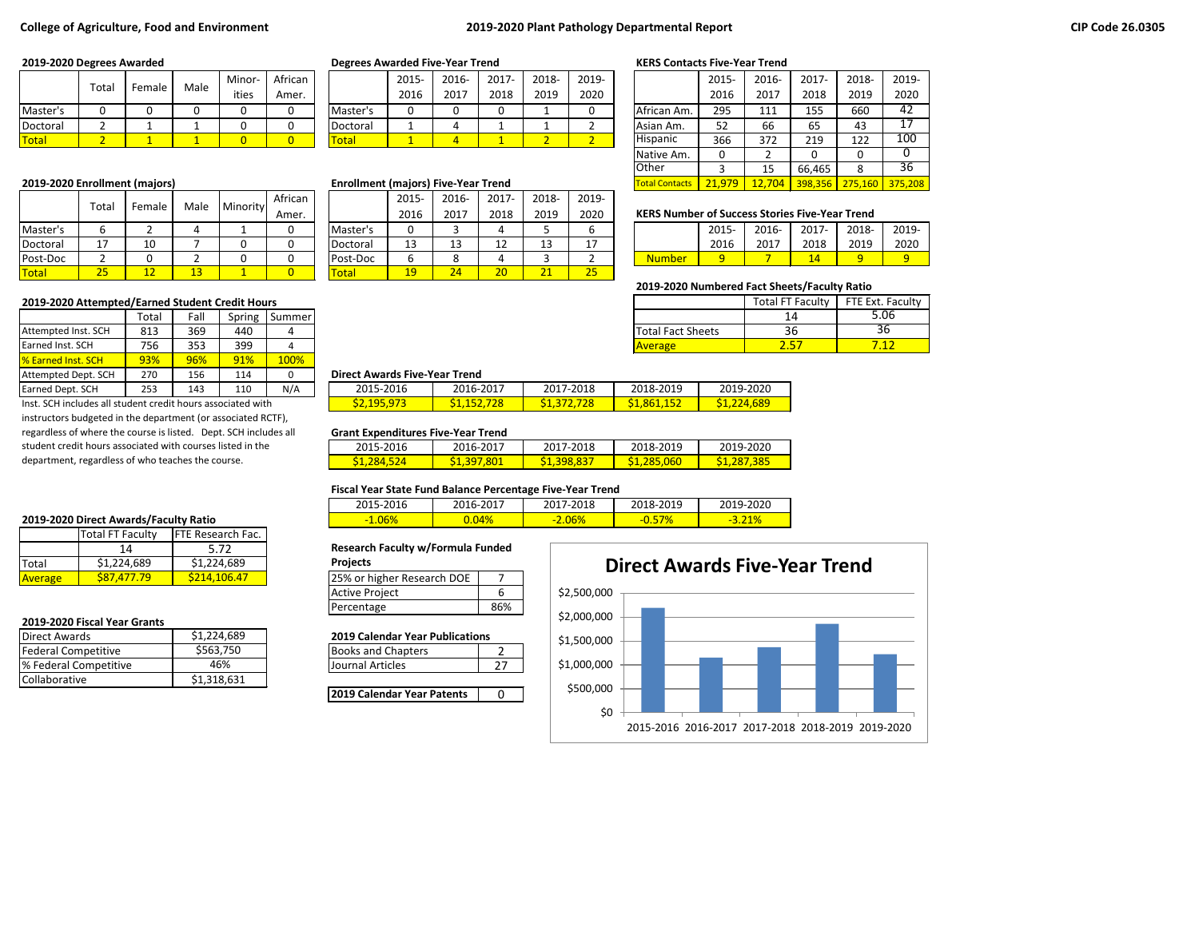### **College of Agriculture, Food and Environment 2019-2020 Plant Pathology Departmental Report**

|              | Total | Female | Male | Minor- | African |          | 2015 | 2016- | 2017- | 2018- | 2019- |                 | 2015     | 2016 | 2017                | 2018- | 2019 |
|--------------|-------|--------|------|--------|---------|----------|------|-------|-------|-------|-------|-----------------|----------|------|---------------------|-------|------|
|              |       |        |      | ities  | Amer.   |          | 2016 | 2017  | 2018  | 2019  | 2020  |                 | 2016     | 2017 | 2018                | 2019  | 2020 |
| Master's     |       |        |      |        |         | Master's |      |       |       |       |       | African Am.     | 295      | 111  | 155                 | 660   | 42   |
| Doctoral     |       |        |      |        |         | Doctoral |      |       |       |       |       | Asian Am.       | ヒつ<br>ےر | 66   | $\sim$ $\sim$<br>ხჂ | 43    |      |
| <b>Total</b> |       |        |      |        |         | Total    |      |       |       |       |       | <b>Hispanic</b> | 366      | 372  | 219                 | 122   | 100  |

|          |                              |        |                    |          | African |              | 2015 | 2016-   | 2017-   | 2018-     | 2019-    |                                                       |       |       |       |       |       |
|----------|------------------------------|--------|--------------------|----------|---------|--------------|------|---------|---------|-----------|----------|-------------------------------------------------------|-------|-------|-------|-------|-------|
|          | Total                        | Female | Male               | Minority | Amer.   |              | 2016 | 2017    | 2018    | 2019      | 2020     | <b>KERS Number of Success Stories Five-Year Trend</b> |       |       |       |       |       |
| Master's |                              |        |                    |          |         | 'Master's    |      |         |         |           |          |                                                       | 2015- | 2016- | 2017- | 2018- | 2019- |
| Doctoral | $\overline{a}$<br><b>. .</b> | 10     |                    |          |         | Doctoral     | 13   | 13<br>ᅩ | 19<br>∸ |           |          |                                                       | 2016  | 2017  | 2018  | 2019  | 2020  |
| Post-Doc |                              |        |                    |          | u       | Post-Doc     |      |         |         |           |          | <b>Number</b>                                         |       |       | 14    |       |       |
| Total    | ንፎ<br>رے                     |        | $\mathbf{A}$<br>-- |          |         | <u>Total</u> | 19   | 24      | 20      | <b>34</b> | つら<br>رے |                                                       |       |       |       |       |       |

#### **2019-2020 Attempted/Earned Student Credit Hours**

|                           | Total | Fall | Spring | Summer |                                      |           |           |                          |  |
|---------------------------|-------|------|--------|--------|--------------------------------------|-----------|-----------|--------------------------|--|
| Attempted Inst. SCH       | 813   | 369  | 440    |        |                                      |           |           | <b>Total Fact Sheets</b> |  |
| <b>Earned Inst. SCH</b>   | 756   | 353  | 399    |        |                                      |           |           | <b>Average</b>           |  |
| <b>8</b> Earned Inst. SCH | 93%   | 96%  | 91%    | 100%   |                                      |           |           |                          |  |
| Attempted Dept. SCH       | 270   | 156  | 114    |        | <b>Direct Awards Five-Year Trend</b> |           |           |                          |  |
| Earned Dept. SCH          | 253   | 143  | 110    | N/A    | 2015-2016                            | 2016-2017 | 2017-2018 | 2018-2019                |  |

Inst. SCH includes all student credit hours associated with instructors budgeted in the department (or associated RCTF), regardless of where the course is listed. Dept. SCH includes all student credit hours associated with courses listed in the department, regardless of who teaches the course.

#### **2019-2020 Direct Awards/Faculty Ratio**

|                | Total FT Faculty | <b>FTE Research Fac.</b> |                                  |  |
|----------------|------------------|--------------------------|----------------------------------|--|
|                |                  | 5.72                     | Research Faculty w/Formula Funde |  |
| Total          | \$1,224,689      | \$1,224,689              | <b>Projects</b>                  |  |
| <b>Average</b> | S87.477.79       | S214.106.47              | 25% or higher Research DOE       |  |
|                |                  |                          |                                  |  |

### **2019-2020 Fiscal Year Grants**

| Direct Awards         | \$1,224,689 | <b>2019 Calendar Year Publications</b> |  |
|-----------------------|-------------|----------------------------------------|--|
| Federal Competitive   | \$563.750   | <b>Books and Chapters</b>              |  |
| % Federal Competitive | 46%         | Journal Articles                       |  |
| <b>Collaborative</b>  | \$1,318,631 |                                        |  |
|                       |             |                                        |  |

#### **2019-2020 Degrees Awarded Degrees Awarded Five-Year Trend KERS Contacts Five-Year Trend**

|          | 2015- | $2016 -$ | $2017 -$ | 2018- | 2019- |
|----------|-------|----------|----------|-------|-------|
|          | 2016  | 2017     | 2018     | 2019  | 2020  |
| Master's |       |          |          |       |       |
| Doctoral |       |          |          |       |       |
| otal     |       |          |          |       |       |

#### **2019-2020 Enrollment (majors) <b>Enrollment (majors**) **Enrollment (majors)** Five-Year Trend

|          | 2015- | 2016- | $2017 -$ | 2018- | 2019- |
|----------|-------|-------|----------|-------|-------|
|          | 2016  | 2017  | 2018     | 2019  | 2020  |
| Master's | 0     |       |          |       |       |
| Doctoral | 13    | 13    | 12       | 13    | 17    |
| Post-Doc | 6     | 8     |          |       |       |
| otal     | 19    | 24    | 20       | 21    | 25    |

|                       | 2015-  | 2016-  | 2017-   | 2018-   | 2019-   |
|-----------------------|--------|--------|---------|---------|---------|
|                       | 2016   | 2017   | 2018    | 2019    | 2020    |
| African Am.           | 295    | 111    | 155     | 660     | 42      |
| Asian Am.             | 52     | 66     | 65      | 43      | 17      |
| Hispanic              | 366    | 372    | 219     | 122     | 100     |
| Native Am.            | 0      | 2      | 0       | 0       |         |
| <b>Other</b>          | 3      | 15     | 66,465  | 8       | 36      |
| <b>Total Contacts</b> | 21.979 | 12,704 | 398,356 | 275.160 | 375,208 |

### **KERS Number of Success Stories Five-Year Trend**

|               | $2015 -$ | 2016- | 2017- | 2018- | 2019- |
|---------------|----------|-------|-------|-------|-------|
|               | 2016     | 2017  | 2018  | 2019  | 2020  |
| <b>Number</b> |          |       |       |       |       |

#### **2019-2020 Numbered Fact Sheets/Faculty Ratio**

|                          | <b>Total FT Faculty</b> | FTE Ext. Faculty |
|--------------------------|-------------------------|------------------|
|                          | 14                      | 5.06             |
| <b>Total Fact Sheets</b> | 36                      | 36               |
| <b>Average</b>           |                         |                  |

#### **Direct Awards Five-Year Trend**

| _  _ _ _ _        |            |            |             |             |
|-------------------|------------|------------|-------------|-------------|
| 2015-2016         | 2016-2017  | 2017-2018  | 2018-2019   | 2019-2020   |
| <b>S2,195,973</b> | S1.152.728 | S1.372.728 | \$1,861,152 | \$1,224,689 |

#### **Grant Expenditures Five-Year Trend**

| 2015-2016         | 2016-2017   | 2017-2018          | 2018-2019   | 2019-2020      |
|-------------------|-------------|--------------------|-------------|----------------|
| <u>S1,284,524</u> | \$1,397,801 | <b>\$1,398,837</b> | \$1,285,060 | .385<br>S1.287 |

### **Fiscal Year State Fund Balance Percentage Five-Year Trend**

| 2015-2016 | 2016-2017 | -2018<br>$2017 - 2$ | 2018-2019    | 2019-2020 |
|-----------|-----------|---------------------|--------------|-----------|
| $-1.06%$  |           | 2.06%<br>$-1$       | <u>−∪.⇒.</u> | 21%       |

#### **Research Faculty w/Formula Funded**

| Projects |  |
|----------|--|
|----------|--|

#### **2019 Calendar Year Publications**

| <b>Books and Chapters</b> |  |
|---------------------------|--|
| Journal Articles          |  |

**2019 Calendar Year Patents** | 0

# \$0 \$500,000 \$1,000,000 \$1,500,000 \$2,000,000 \$2,500,000 2015-2016 2016-2017 2017-2018 2018-2019 2019-2020 **Direct Awards Five-Year Trend**